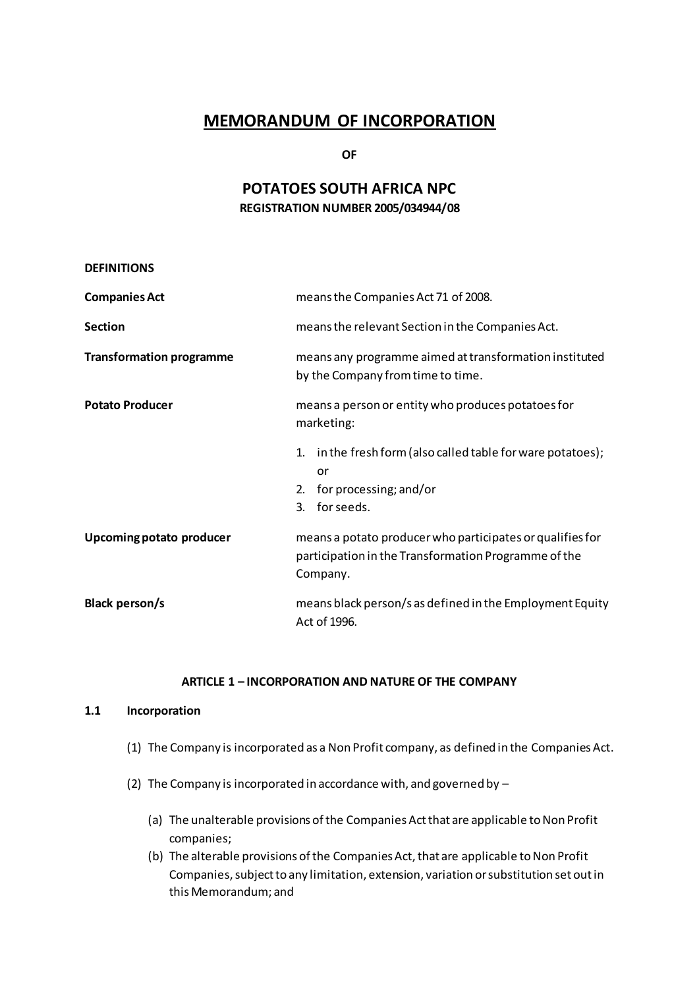# **MEMORANDUM OF INCORPORATION**

**OF**

## **POTATOES SOUTH AFRICA NPC REGISTRATION NUMBER 2005/034944/08**

| means the Companies Act 71 of 2008.                                                                                           |
|-------------------------------------------------------------------------------------------------------------------------------|
| means the relevant Section in the Companies Act.                                                                              |
| means any programme aimed at transformation instituted<br>by the Company from time to time.                                   |
| means a person or entity who produces potatoes for<br>marketing:                                                              |
| in the fresh form (also called table for ware potatoes);<br>1.<br>or<br>for processing; and/or<br>2.<br>for seeds.<br>3.      |
| means a potato producer who participates or qualifies for<br>participation in the Transformation Programme of the<br>Company. |
| means black person/s as defined in the Employment Equity<br>Act of 1996.                                                      |
|                                                                                                                               |

## **ARTICLE 1 – INCORPORATION AND NATURE OF THE COMPANY**

#### **1.1 Incorporation**

- (1) The Company is incorporated as a Non Profit company, as defined in the Companies Act.
- (2) The Company is incorporated in accordance with, and governed by
	- (a) The unalterable provisions of the Companies Actthat are applicable to Non Profit companies;
	- (b) The alterable provisions of the Companies Act, that are applicable to Non Profit Companies, subject to any limitation, extension, variation or substitution set out in this Memorandum; and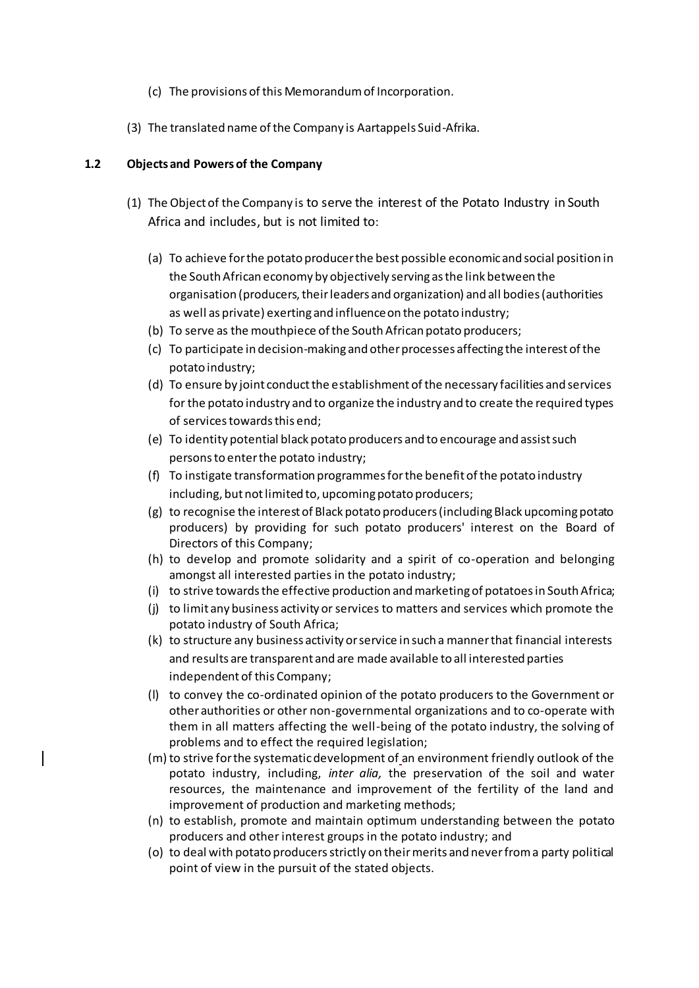- (c) The provisions of this Memorandum of Incorporation.
- (3) The translated name of the Company is Aartappels Suid-Afrika.

## **1.2 Objects and Powers of the Company**

- (1) The Object of the Company is to serve the interest of the Potato Industry in South Africa and includes, but is not limited to:
	- (a) To achieve for the potato producer the best possible economic and social position in the South African economy by objectively serving as the link between the organisation (producers, their leaders and organization) and all bodies (authorities as well as private) exerting and influence on the potato industry;
	- (b) To serve as the mouthpiece of the South African potato producers;
	- (c) To participate in decision-making and other processes affecting the interest of the potato industry;
	- (d) To ensure by joint conduct the establishment of the necessary facilities and services for the potato industry and to organize the industry and to create the required types of services towards this end;
	- (e) To identity potential black potato producers and to encourage and assist such persons to enter the potato industry;
	- (f) To instigate transformation programmes for the benefit of the potato industry including, but not limited to, upcoming potato producers;
	- (g) to recognise the interest of Black potato producers (including Black upcoming potato producers) by providing for such potato producers' interest on the Board of Directors of this Company;
	- (h) to develop and promote solidarity and a spirit of co-operation and belonging amongst all interested parties in the potato industry;
	- (i) to strive towards the effective production and marketing of potatoes in South Africa;
	- (j) to limit any business activity or services to matters and services which promote the potato industry of South Africa;
	- (k) to structure any business activity or service in such a manner that financial interests and results are transparent and are made available to all interested parties independent of this Company;
	- (l) to convey the co-ordinated opinion of the potato producers to the Government or other authorities or other non-governmental organizations and to co-operate with them in all matters affecting the well-being of the potato industry, the solving of problems and to effect the required legislation;
	- (m) to strive for the systematic development of an environment friendly outlook of the potato industry, including, *inter alia,* the preservation of the soil and water resources, the maintenance and improvement of the fertility of the land and improvement of production and marketing methods;
	- (n) to establish, promote and maintain optimum understanding between the potato producers and other interest groups in the potato industry; and
	- (o) to deal with potato producersstrictly on their merits and never from a party political point of view in the pursuit of the stated objects.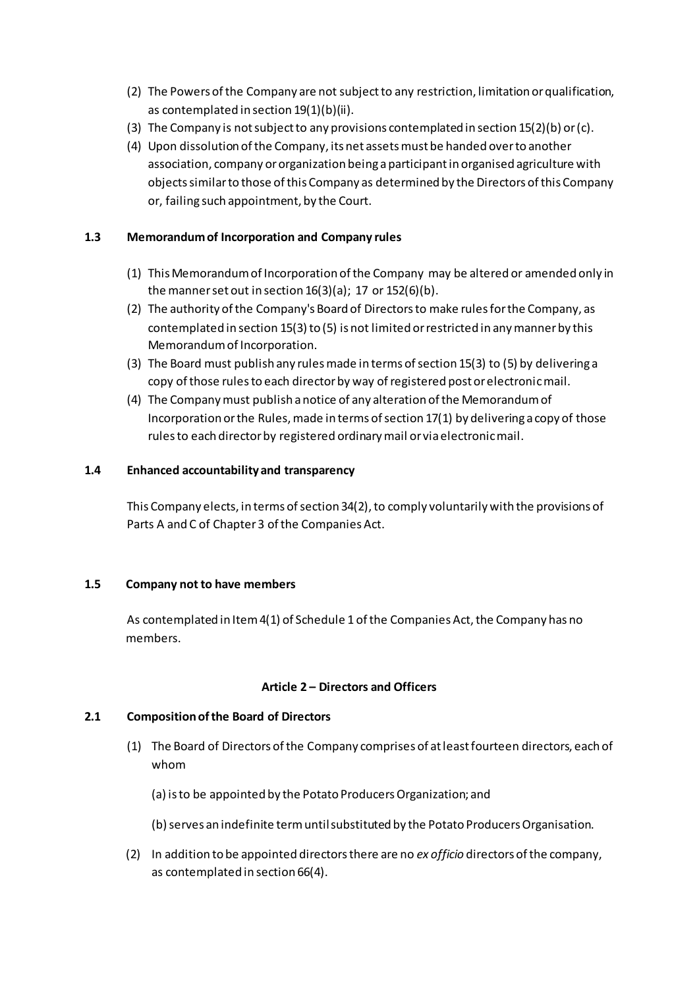- (2) The Powers of the Company are not subject to any restriction, limitation or qualification, as contemplated in section 19(1)(b)(ii).
- (3) The Company is not subject to any provisions contemplated in section  $15(2)(b)$  or (c).
- (4) Upon dissolution of the Company, its net assets must be handed over to another association, company or organization being a participant in organised agriculture with objects similar to those of this Company as determined by the Directors of this Company or, failing such appointment, by the Court.

## **1.3 Memorandum of Incorporation and Company rules**

- (1) This Memorandum of Incorporation of the Company may be altered or amended only in the manner set out in section  $16(3)(a)$ ; 17 or  $152(6)(b)$ .
- (2) The authority of the Company's Board of Directors to make rules for the Company, as contemplated in section 15(3) to (5) is not limited or restricted in any manner by this Memorandum of Incorporation.
- (3) The Board must publish any rules made in terms of section 15(3) to (5) by delivering a copy of those rules to each director by way of registered post or electronic mail.
- (4) The Company must publish a notice of any alteration of the Memorandum of Incorporation or the Rules, made in terms of section 17(1) by delivering a copy of those rules to each director by registered ordinary mail or via electronic mail.

#### **1.4 Enhanced accountability and transparency**

This Company elects, in terms of section 34(2), to comply voluntarily with the provisions of Parts A and C of Chapter 3 of the Companies Act.

#### **1.5 Company not to have members**

As contemplated in Item 4(1) of Schedule 1 of the Companies Act, the Company has no members.

## **Article 2 – Directors and Officers**

## **2.1 Composition of the Board of Directors**

- (1) The Board of Directors of the Company comprises of at least fourteen directors, each of whom
	- (a) is to be appointed by the Potato Producers Organization; and
	- (b) serves an indefinite term until substituted by the Potato Producers Organisation.
- (2) In addition to be appointed directors there are no *ex officio* directors of the company, as contemplated in section 66(4).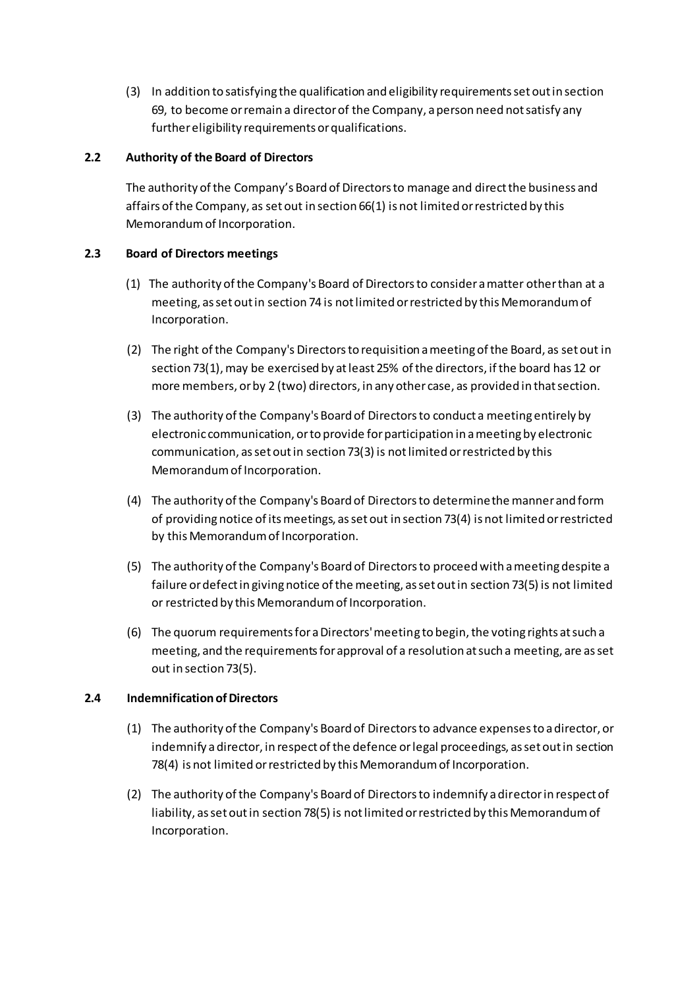(3) In addition to satisfying the qualification and eligibility requirements set out in section 69, to become or remain a director of the Company, a person need not satisfy any further eligibility requirements or qualifications.

## **2.2 Authority of the Board of Directors**

The authority of the Company's Board of Directors to manage and direct the business and affairs of the Company, as set out in section 66(1) is not limited or restricted by this Memorandum of Incorporation.

## **2.3 Board of Directors meetings**

- (1) The authority of the Company's Board of Directors to consider a matter other than at a meeting, as set out in section 74 is not limited or restricted by this Memorandum of Incorporation.
- (2) The right of the Company's Directors to requisition a meeting of the Board, as set out in section 73(1), may be exercised by at least 25% of the directors, if the board has 12 or more members, or by 2 (two) directors, in any other case, as provided in that section.
- (3) The authority of the Company's Board of Directors to conduct a meeting entirely by electronic communication, or to provide for participation in a meeting by electronic communication, as set out in section 73(3) is not limited or restricted by this Memorandum of Incorporation.
- (4) The authority of the Company's Board of Directors to determine the manner and form of providing notice of its meetings, as set out in section 73(4) is not limited or restricted by this Memorandum of Incorporation.
- (5) The authority of the Company's Board of Directors to proceed with a meeting despite a failure or defect in giving notice of the meeting, as set out in section 73(5) is not limited or restricted by this Memorandum of Incorporation.
- (6) The quorum requirements for a Directors' meeting to begin, the voting rights at such a meeting, and the requirements for approval of a resolution at such a meeting, are as set out in section 73(5).

## **2.4 Indemnification of Directors**

- (1) The authority of the Company's Board of Directors to advance expenses to a director, or indemnify a director, in respect of the defence or legal proceedings, as set out in section 78(4) is not limited or restricted by this Memorandum of Incorporation.
- (2) The authority of the Company's Board of Directors to indemnify a director in respect of liability, as set out in section 78(5) is not limited or restricted by this Memorandum of Incorporation.